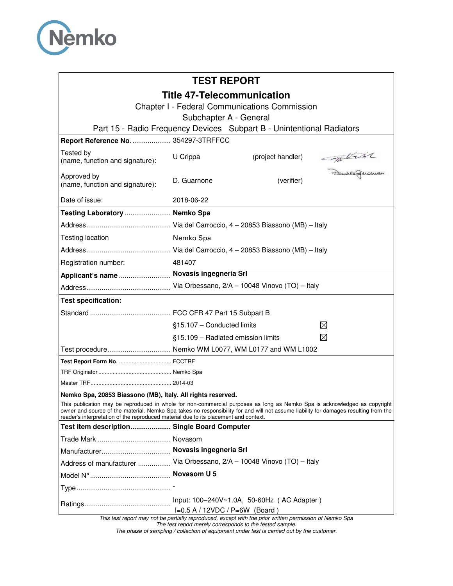

# **TEST REPORT**

## **Title 47-Telecommunication**

Chapter I - Federal Communications Commission

Subchapter A - General

Part 15 - Radio Frequency Devices Subpart B - Unintentional Radiators

| Report Reference No.  354297-3TRFFCC                                                                                                                                                                                                                                                                                                                      |                                                                                                         |                   |               |
|-----------------------------------------------------------------------------------------------------------------------------------------------------------------------------------------------------------------------------------------------------------------------------------------------------------------------------------------------------------|---------------------------------------------------------------------------------------------------------|-------------------|---------------|
| Tested by<br>(name, function and signature):                                                                                                                                                                                                                                                                                                              | U Crippa                                                                                                | (project handler) | Sample Quemon |
| Approved by<br>(name, function and signature):                                                                                                                                                                                                                                                                                                            | D. Guarnone                                                                                             | (verifier)        |               |
| Date of issue:                                                                                                                                                                                                                                                                                                                                            | 2018-06-22                                                                                              |                   |               |
| Testing Laboratory  Nemko Spa                                                                                                                                                                                                                                                                                                                             |                                                                                                         |                   |               |
|                                                                                                                                                                                                                                                                                                                                                           |                                                                                                         |                   |               |
| Testing location                                                                                                                                                                                                                                                                                                                                          | Nemko Spa                                                                                               |                   |               |
|                                                                                                                                                                                                                                                                                                                                                           |                                                                                                         |                   |               |
| Registration number:                                                                                                                                                                                                                                                                                                                                      | 481407                                                                                                  |                   |               |
| Applicant's name  Novasis ingegneria Srl                                                                                                                                                                                                                                                                                                                  |                                                                                                         |                   |               |
|                                                                                                                                                                                                                                                                                                                                                           |                                                                                                         |                   |               |
| <b>Test specification:</b>                                                                                                                                                                                                                                                                                                                                |                                                                                                         |                   |               |
|                                                                                                                                                                                                                                                                                                                                                           |                                                                                                         |                   |               |
|                                                                                                                                                                                                                                                                                                                                                           | §15.107 - Conducted limits                                                                              |                   | ⊠             |
|                                                                                                                                                                                                                                                                                                                                                           | §15.109 - Radiated emission limits                                                                      |                   | ⊠             |
| Test procedure Nemko WM L0077, WM L0177 and WM L1002                                                                                                                                                                                                                                                                                                      |                                                                                                         |                   |               |
|                                                                                                                                                                                                                                                                                                                                                           |                                                                                                         |                   |               |
|                                                                                                                                                                                                                                                                                                                                                           |                                                                                                         |                   |               |
|                                                                                                                                                                                                                                                                                                                                                           |                                                                                                         |                   |               |
| Nemko Spa, 20853 Biassono (MB), Italy. All rights reserved.                                                                                                                                                                                                                                                                                               |                                                                                                         |                   |               |
| This publication may be reproduced in whole for non-commercial purposes as long as Nemko Spa is acknowledged as copyright<br>owner and source of the material. Nemko Spa takes no responsibility for and will not assume liability for damages resulting from the<br>reader's interpretation of the reproduced material due to its placement and context. |                                                                                                         |                   |               |
| Test item description Single Board Computer                                                                                                                                                                                                                                                                                                               |                                                                                                         |                   |               |
|                                                                                                                                                                                                                                                                                                                                                           |                                                                                                         |                   |               |
|                                                                                                                                                                                                                                                                                                                                                           |                                                                                                         |                   |               |
| Address of manufacturer                                                                                                                                                                                                                                                                                                                                   | Via Orbessano, 2/A - 10048 Vinovo (TO) - Italy                                                          |                   |               |
|                                                                                                                                                                                                                                                                                                                                                           |                                                                                                         |                   |               |
|                                                                                                                                                                                                                                                                                                                                                           |                                                                                                         |                   |               |
|                                                                                                                                                                                                                                                                                                                                                           | Input: 100-240V~1.0A, 50-60Hz (AC Adapter)<br>$I=0.5 A / 12 VDC / P=6W$ (Board)                         |                   |               |
|                                                                                                                                                                                                                                                                                                                                                           | This test report may not be partially reproduced, except with the prior written permission of Nemko Spa |                   |               |

The test report merely corresponds to the tested sample.

The phase of sampling / collection of equipment under test is carried out by the customer.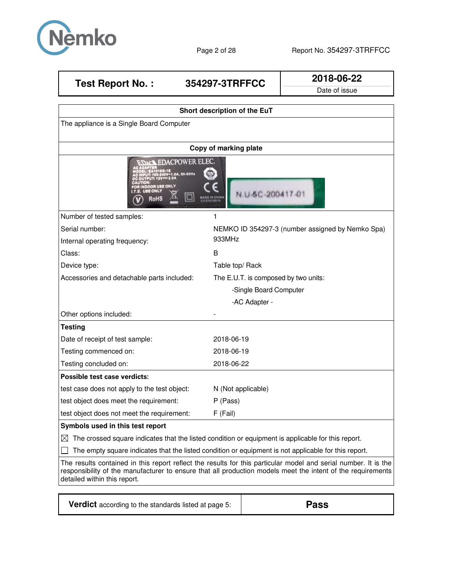

| <b>Test Report No.:</b>                                                                                        | 354297-3TRFFCC                                                                                                                                 | 2018-06-22    |  |
|----------------------------------------------------------------------------------------------------------------|------------------------------------------------------------------------------------------------------------------------------------------------|---------------|--|
|                                                                                                                |                                                                                                                                                | Date of issue |  |
|                                                                                                                |                                                                                                                                                |               |  |
|                                                                                                                | Short description of the EuT                                                                                                                   |               |  |
| The appliance is a Single Board Computer                                                                       |                                                                                                                                                |               |  |
|                                                                                                                |                                                                                                                                                |               |  |
|                                                                                                                | Copy of marking plate                                                                                                                          |               |  |
| <b>PC OUTPUT: 12V== 2.0A</b><br><b>CAUTION</b><br>FOR INDOOR USE ONLY<br><b>I.T.E. USE ONLY</b><br><b>RoHS</b> | <b>EDACT EDACPOWER ELEC.</b><br>.: EA1018G-1E<br>UT: 100-240V~1.0A, 50-60Hz<br>$\mathbb{R}$<br>U-6C-200<br><b>MADE IN CHINA</b><br>13121018019 |               |  |
| Number of tested samples:                                                                                      |                                                                                                                                                |               |  |
| Serial number:                                                                                                 | NEMKO ID 354297-3 (number assigned by Nemko Spa)                                                                                               |               |  |

Internal operating frequency: 933MHz Class: B Device type: Table top/ Rack Accessories and detachable parts included: The E.U.T. is composed by two units: -Single Board Computer -AC Adapter - Other options included: **Testing** Date of receipt of test sample: 2018-06-19 Testing commenced on: 2018-06-19 Testing concluded on: 2018-06-22 **Possible test case verdicts:** test case does not apply to the test object: N (Not applicable) test object does meet the requirement: P (Pass) test object does not meet the requirement: F (Fail) **Symbols used in this test report** 

 $\boxtimes$  The crossed square indicates that the listed condition or equipment is applicable for this report.

 $\Box$  The empty square indicates that the listed condition or equipment is not applicable for this report.

The results contained in this report reflect the results for this particular model and serial number. It is the responsibility of the manufacturer to ensure that all production models meet the intent of the requirements detailed within this report.

**Verdict** according to the standards listed at page 5: **Pass**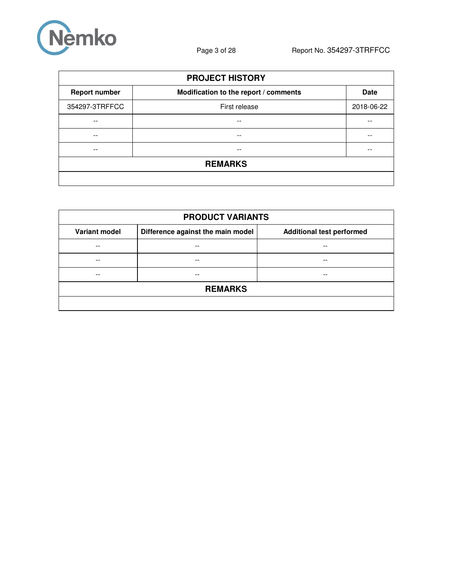

| <b>PROJECT HISTORY</b> |                                       |             |  |  |
|------------------------|---------------------------------------|-------------|--|--|
| <b>Report number</b>   | Modification to the report / comments | <b>Date</b> |  |  |
| 354297-3TRFFCC         | First release                         | 2018-06-22  |  |  |
| --                     | --                                    | --          |  |  |
|                        | --                                    |             |  |  |
|                        | --                                    |             |  |  |
| <b>REMARKS</b>         |                                       |             |  |  |
|                        |                                       |             |  |  |

| <b>PRODUCT VARIANTS</b> |                                   |                                  |  |  |  |
|-------------------------|-----------------------------------|----------------------------------|--|--|--|
| <b>Variant model</b>    | Difference against the main model | <b>Additional test performed</b> |  |  |  |
| $ -$                    | --                                | --                               |  |  |  |
| --                      | --                                | --                               |  |  |  |
| --                      | --                                | --                               |  |  |  |
| <b>REMARKS</b>          |                                   |                                  |  |  |  |
|                         |                                   |                                  |  |  |  |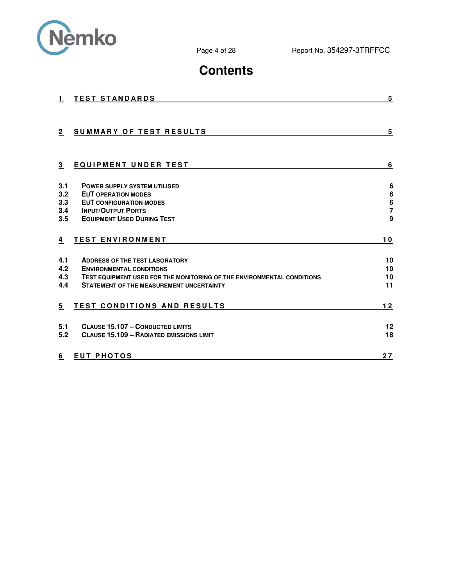

# **Contents**

| 1.           | <b>TEST STANDARDS</b>                                                  | 5                   |
|--------------|------------------------------------------------------------------------|---------------------|
|              |                                                                        |                     |
| $\mathbf{2}$ | <b>SUMMARY OF TEST RESULTS</b>                                         | 5                   |
| 3            | <b>EQUIPMENT UNDER TEST</b>                                            | 6                   |
| 3.1          | <b>POWER SUPPLY SYSTEM UTILISED</b>                                    | 6                   |
| 3.2          | <b>EUT OPERATION MODES</b>                                             | 6                   |
| 3.3          | <b>EUT CONFIGURATION MODES</b><br><b>INPUT/OUTPUT PORTS</b>            | 6<br>$\overline{7}$ |
| 3.4<br>3.5   | <b>EQUIPMENT USED DURING TEST</b>                                      | 9                   |
| 4            | <b>TEST ENVIRONMENT</b>                                                | 10                  |
| 4.1          | <b>ADDRESS OF THE TEST LABORATORY</b>                                  | 10                  |
| 4.2          | <b>ENVIRONMENTAL CONDITIONS</b>                                        | 10                  |
| 4.3          | TEST EQUIPMENT USED FOR THE MONITORING OF THE ENVIRONMENTAL CONDITIONS | 10                  |
| 4.4          | <b>STATEMENT OF THE MEASUREMENT UNCERTAINTY</b>                        | 11                  |
| 5            | <b>TEST CONDITIONS AND RESULTS</b>                                     | $12$                |
| 5.1          | <b>CLAUSE 15.107 - CONDUCTED LIMITS</b>                                | 12                  |
| 5.2          | <b>CLAUSE 15.109 - RADIATED EMISSIONS LIMIT</b>                        | 18                  |
| 6            | <b>EUT PHOTOS</b>                                                      | 27                  |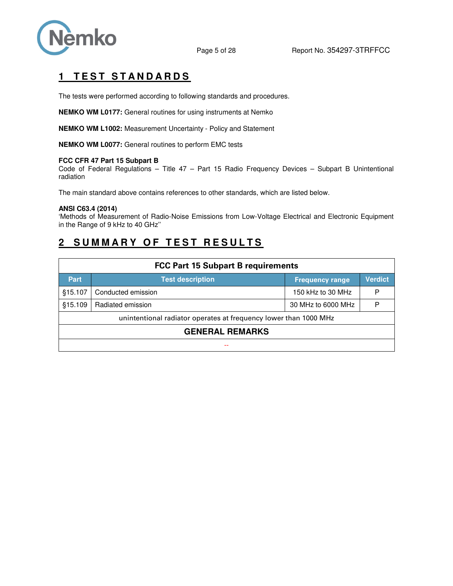

# **1 TEST STANDARDS**

The tests were performed according to following standards and procedures.

**NEMKO WM L0177:** General routines for using instruments at Nemko

**NEMKO WM L1002:** Measurement Uncertainty - Policy and Statement

**NEMKO WM L0077:** General routines to perform EMC tests

#### **FCC CFR 47 Part 15 Subpart B**

Code of Federal Regulations – Title 47 – Part 15 Radio Frequency Devices – Subpart B Unintentional radiation

The main standard above contains references to other standards, which are listed below.

#### **ANSI C63.4 (2014)**

'Methods of Measurement of Radio-Noise Emissions from Low-Voltage Electrical and Electronic Equipment in the Range of 9 kHz to 40 GHz''

## **2 SUMMARY OF TEST RESULTS**

| <b>FCC Part 15 Subpart B requirements</b>                        |                         |                        |         |  |  |  |
|------------------------------------------------------------------|-------------------------|------------------------|---------|--|--|--|
| <b>Part</b>                                                      | <b>Test description</b> | <b>Frequency range</b> | Verdict |  |  |  |
| §15.107                                                          | Conducted emission      | 150 kHz to 30 MHz      | P       |  |  |  |
| \$15.109                                                         | Radiated emission       | 30 MHz to 6000 MHz     | P       |  |  |  |
| unintentional radiator operates at frequency lower than 1000 MHz |                         |                        |         |  |  |  |
| <b>GENERAL REMARKS</b>                                           |                         |                        |         |  |  |  |
|                                                                  |                         |                        |         |  |  |  |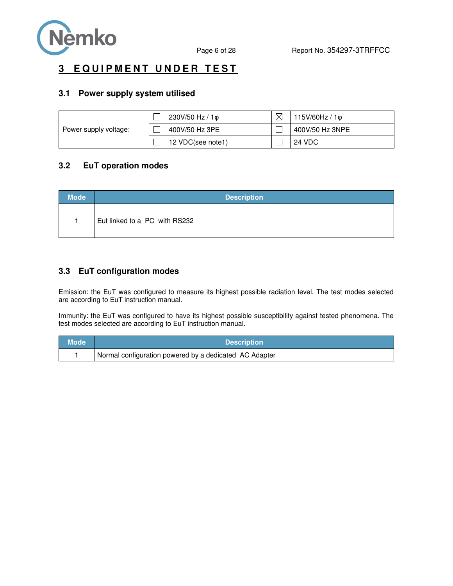

## **3 EQUIPMENT UNDER TEST**

### **3.1 Power supply system utilised**

|                       | 230V/50 Hz / 1¢   | 115V/60Hz/10    |
|-----------------------|-------------------|-----------------|
| Power supply voltage: | 400V/50 Hz 3PE    | 400V/50 Hz 3NPE |
|                       | 12 VDC(see note1) | <b>24 VDC</b>   |

## **3.2 EuT operation modes**

| <b>Mode</b> | <b>Description</b>            |
|-------------|-------------------------------|
|             | Eut linked to a PC with RS232 |

## **3.3 EuT configuration modes**

Emission: the EuT was configured to measure its highest possible radiation level. The test modes selected are according to EuT instruction manual.

Immunity: the EuT was configured to have its highest possible susceptibility against tested phenomena. The test modes selected are according to EuT instruction manual.

| <b>Mode</b> | <b>Description</b>                                     |
|-------------|--------------------------------------------------------|
|             | Normal configuration powered by a dedicated AC Adapter |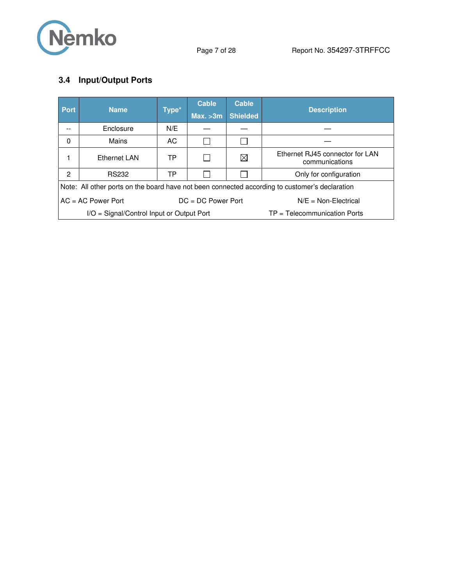

# **3.4 Input/Output Ports**

| <b>Port</b>                                  | <b>Name</b>                                                                                    | Type* | <b>Cable</b><br>Max. > 3m | <b>Cable</b><br><b>Shielded</b> | <b>Description</b>                                |  |  |
|----------------------------------------------|------------------------------------------------------------------------------------------------|-------|---------------------------|---------------------------------|---------------------------------------------------|--|--|
|                                              | Enclosure                                                                                      | N/E   |                           |                                 |                                                   |  |  |
|                                              |                                                                                                |       |                           |                                 |                                                   |  |  |
| 0                                            | Mains                                                                                          | AC.   |                           |                                 |                                                   |  |  |
|                                              | Ethernet LAN                                                                                   | TP    |                           | $\boxtimes$                     | Ethernet RJ45 connector for LAN<br>communications |  |  |
| 2                                            | <b>RS232</b>                                                                                   | TP    |                           |                                 | Only for configuration                            |  |  |
|                                              | Note: All other ports on the board have not been connected according to customer's declaration |       |                           |                                 |                                                   |  |  |
| $AC = AC Power Port$<br>$DC = DC Power Port$ |                                                                                                |       | $N/E = Non-Electrical$    |                                 |                                                   |  |  |
| I/O = Signal/Control Input or Output Port    |                                                                                                |       |                           | $TP = Telecommunication$ Ports  |                                                   |  |  |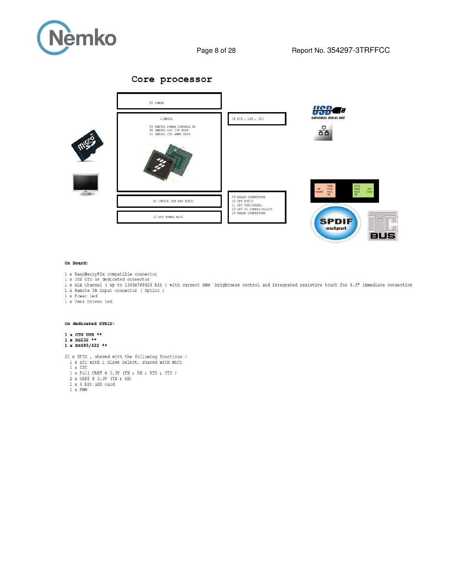

Core processor



#### On Board:

- 1 x RaspBerryPIx compatible connector
- 1 x USB OTG on dedicated connector
- 1 x RGB Channel ( up to 1366x768024 bit ) with current FWM brightness control and integrated resistive touch for 4.3" immediate connection 1 x Remote IR input connector (Option)<br>1 x Power led
- 
- 1 x User Driven led

#### On dedicated STRIP:

#### $1 \times$  OTG USB \*\*  $1 \times$  RS232 \*\* 1 x RS485/422 \*\*

 $25$  x  $\tt{GFD}$  , shared with the following functions : 1 x  $\tt{SPI}$  with 1 Slave Select, shared with WiFi 1 x  $\tt{I2C}$ 

- 
- 1 x 12C<br>1 x Full UART @ 3.3V (TX ; RX ; RTS ; CTS )<br>2 x UART @ 3.3V (TX ; RX)<br>1 x 4 bit uSD card<br>1 x FWM
- 
- 
-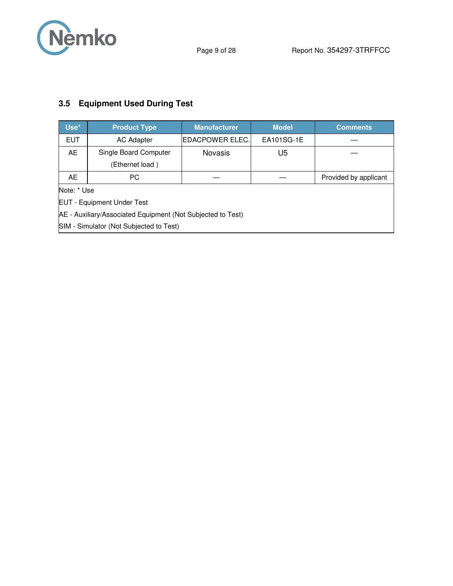

# **3.5 Equipment Used During Test**

| Use*                                                        | <b>Product Type</b>                     | <b>Manufacturer</b> | <b>Model</b>          | <b>Comments</b> |  |  |
|-------------------------------------------------------------|-----------------------------------------|---------------------|-----------------------|-----------------|--|--|
| <b>EUT</b>                                                  | <b>AC Adapter</b>                       | EDACPOWER ELEC.     | EA101SG-1E            |                 |  |  |
| AE.                                                         | Single Board Computer<br><b>Novasis</b> |                     | U5                    |                 |  |  |
| (Ethernet load)                                             |                                         |                     |                       |                 |  |  |
| AE.                                                         | PС                                      |                     | Provided by applicant |                 |  |  |
|                                                             | Note: * Use                             |                     |                       |                 |  |  |
| <b>EUT - Equipment Under Test</b>                           |                                         |                     |                       |                 |  |  |
| AE - Auxiliary/Associated Equipment (Not Subjected to Test) |                                         |                     |                       |                 |  |  |
| SIM - Simulator (Not Subjected to Test)                     |                                         |                     |                       |                 |  |  |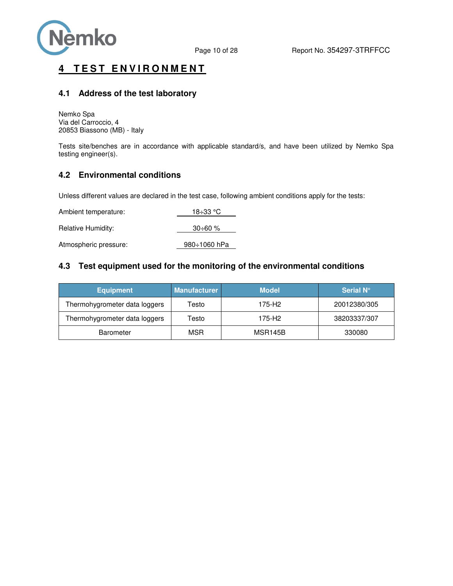

## **4 TEST ENVIRONMENT**

### **4.1 Address of the test laboratory**

Nemko Spa Via del Carroccio, 4 20853 Biassono (MB) - Italy

Tests site/benches are in accordance with applicable standard/s, and have been utilized by Nemko Spa testing engineer(s).

### **4.2 Environmental conditions**

Unless different values are declared in the test case, following ambient conditions apply for the tests:

| Ambient temperature:  | 18÷33 °C        |
|-----------------------|-----------------|
| Relative Humidity:    | $30 \div 60 \%$ |
| Atmospheric pressure: | 980÷1060 hPa    |

### **4.3 Test equipment used for the monitoring of the environmental conditions**

| <b>Equipment</b>              | <b>Manufacturer</b> | <b>Model</b>   | Serial N°    |
|-------------------------------|---------------------|----------------|--------------|
| Thermohygrometer data loggers | Testo               | 175-H2         | 20012380/305 |
| Thermohygrometer data loggers | Testo               | 175-H2         | 38203337/307 |
| <b>Barometer</b>              | MSR                 | <b>MSR145B</b> | 330080       |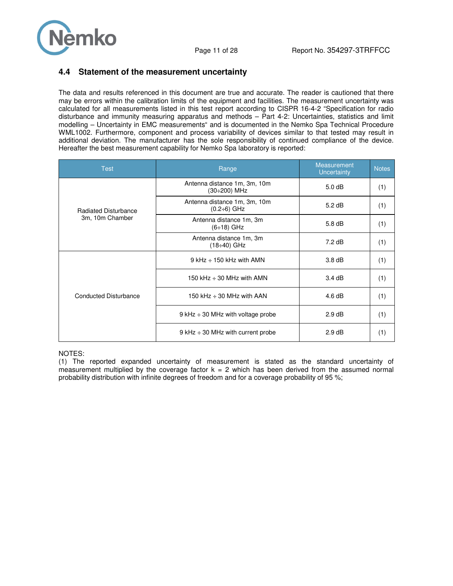

### **4.4 Statement of the measurement uncertainty**

The data and results referenced in this document are true and accurate. The reader is cautioned that there may be errors within the calibration limits of the equipment and facilities. The measurement uncertainty was calculated for all measurements listed in this test report according to CISPR 16-4-2 "Specification for radio disturbance and immunity measuring apparatus and methods – Part 4-2: Uncertainties, statistics and limit modelling – Uncertainty in EMC measurements" and is documented in the Nemko Spa Technical Procedure WML1002. Furthermore, component and process variability of devices similar to that tested may result in additional deviation. The manufacturer has the sole responsibility of continued compliance of the device. Hereafter the best measurement capability for Nemko Spa laboratory is reported:

| <b>Test</b>                  | Range                                              | Measurement<br>Uncertainty | <b>Notes</b> |
|------------------------------|----------------------------------------------------|----------------------------|--------------|
|                              | Antenna distance 1m, 3m, 10m<br>(30÷200) MHz       | 5.0 dB                     | (1)          |
| <b>Radiated Disturbance</b>  | Antenna distance 1m, 3m, 10m<br>$(0.2 \div 6)$ GHz | $5.2$ dB                   | (1)          |
| 3m, 10m Chamber              | Antenna distance 1m, 3m<br>$(6 \div 18)$ GHz       | $5.8$ dB                   | (1)          |
|                              | Antenna distance 1m, 3m<br>$(18 \div 40)$ GHz      | $7.2$ dB                   | (1)          |
| <b>Conducted Disturbance</b> | $9$ kHz $\div$ 150 kHz with AMN                    | 3.8 <sub>dB</sub>          | (1)          |
|                              | 150 kHz $\div$ 30 MHz with AMN                     | 3.4dB                      | (1)          |
|                              | 150 kHz $\div$ 30 MHz with AAN                     | 4.6 dB                     | (1)          |
|                              | $9$ kHz $\div$ 30 MHz with voltage probe           | 2.9 dB                     | (1)          |
|                              | $9$ kHz $\div$ 30 MHz with current probe           | 2.9 dB                     | (1)          |

#### NOTES:

(1) The reported expanded uncertainty of measurement is stated as the standard uncertainty of measurement multiplied by the coverage factor  $k = 2$  which has been derived from the assumed normal probability distribution with infinite degrees of freedom and for a coverage probability of 95 %;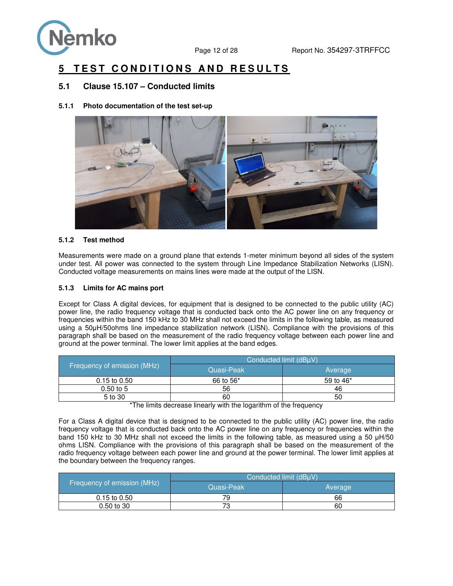

# **5 TEST CONDITIONS AND RESULTS**

### **5.1 Clause 15.107 – Conducted limits**

**5.1.1 Photo documentation of the test set-up** 



#### **5.1.2 Test method**

Measurements were made on a ground plane that extends 1-meter minimum beyond all sides of the system under test. All power was connected to the system through Line Impedance Stabilization Networks (LISN). Conducted voltage measurements on mains lines were made at the output of the LISN.

#### **5.1.3 Limits for AC mains port**

Except for Class A digital devices, for equipment that is designed to be connected to the public utility (AC) power line, the radio frequency voltage that is conducted back onto the AC power line on any frequency or frequencies within the band 150 kHz to 30 MHz shall not exceed the limits in the following table, as measured using a 50μH/50ohms line impedance stabilization network (LISN). Compliance with the provisions of this paragraph shall be based on the measurement of the radio frequency voltage between each power line and ground at the power terminal. The lower limit applies at the band edges.

|                              | Conducted limit (dBuV) |                       |  |  |  |  |
|------------------------------|------------------------|-----------------------|--|--|--|--|
| Frequency of emission (MHz)' | Quasi-Peak             | Average               |  |  |  |  |
| $0.15$ to $0.50$             | 66 to 56 <sup>*</sup>  | 59 to 46 <sup>*</sup> |  |  |  |  |
| $0.50$ to 5                  | 56                     | 46                    |  |  |  |  |
| 5 to 30                      | 60                     | 50                    |  |  |  |  |

\*The limits decrease linearly with the logarithm of the frequency

For a Class A digital device that is designed to be connected to the public utility (AC) power line, the radio frequency voltage that is conducted back onto the AC power line on any frequency or frequencies within the band 150 kHz to 30 MHz shall not exceed the limits in the following table, as measured using a 50 μH/50 ohms LISN. Compliance with the provisions of this paragraph shall be based on the measurement of the radio frequency voltage between each power line and ground at the power terminal. The lower limit applies at the boundary between the frequency ranges.

|                             | Conducted limit (dBuV) |         |  |  |  |  |
|-----------------------------|------------------------|---------|--|--|--|--|
| Frequency of emission (MHz) | Quasi-Peak             | Average |  |  |  |  |
| $0.15$ to $0.50$            | 79                     | 66      |  |  |  |  |
| $0.50$ to 30                |                        | 60      |  |  |  |  |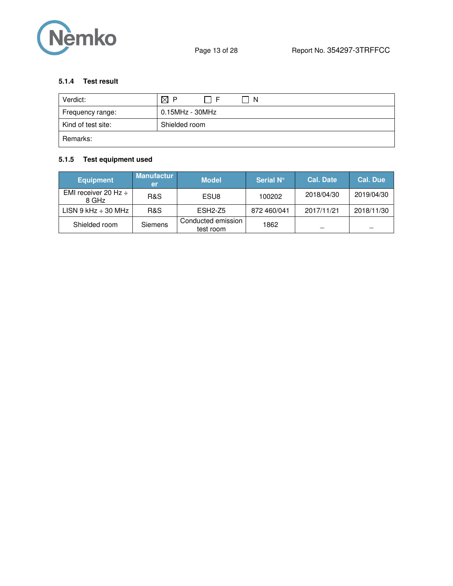

### **5.1.4 Test result**

| Verdict:           | $\boxtimes$ P<br>- I F<br>-N |
|--------------------|------------------------------|
| Frequency range:   | 0.15MHz - 30MHz              |
| Kind of test site: | Shielded room                |
| Remarks:           |                              |

## **5.1.5 Test equipment used**

| <b>Equipment</b>                   | <b>Manufactur</b><br>er | <b>Model</b>                    | Serial N°   | <b>Cal. Date</b> \ | <b>Cal. Due</b> |
|------------------------------------|-------------------------|---------------------------------|-------------|--------------------|-----------------|
| EMI receiver 20 Hz $\div$<br>8 GHz | R&S                     | ESU8                            | 100202      | 2018/04/30         | 2019/04/30      |
| LISN 9 kHz $\div$ 30 MHz           | R&S                     | $ESH2-Z5$                       | 872 460/041 | 2017/11/21         | 2018/11/30      |
| Shielded room                      | Siemens                 | Conducted emission<br>test room | 1862        |                    |                 |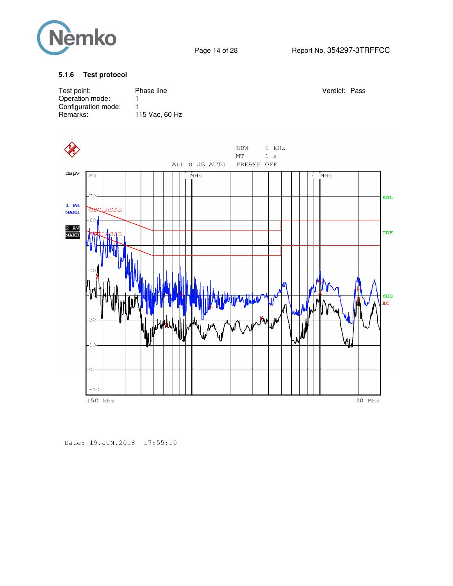

### **5.1.6 Test protocol**

| Test point:<br>Operation mode:<br>Configuration mode:<br>Remarks: |         |                 | 1<br>1 | Phase line<br>115 Vac, 60 Hz |  |  |               |  |                                                             |                  |  |  | Verdict: Pass |        |           |
|-------------------------------------------------------------------|---------|-----------------|--------|------------------------------|--|--|---------------|--|-------------------------------------------------------------|------------------|--|--|---------------|--------|-----------|
|                                                                   |         |                 |        |                              |  |  | Att 0 dB AUTO |  | $\mathbf{R}\mathbf{B}\mathbf{W}$<br>$\rm{MT}$<br>PREAMP OFF | 9 kHz<br>$1\,$ s |  |  |               |        |           |
| dBµV                                                              | 80      |                 |        |                              |  |  | $1$ MHz       |  |                                                             |                  |  |  | 10 MHz        |        |           |
|                                                                   | $-70-$  |                 |        |                              |  |  |               |  |                                                             |                  |  |  |               |        | SGL       |
| $1$ PK<br><b>MAXH</b>                                             |         | <b>OPCLASSB</b> |        |                              |  |  |               |  |                                                             |                  |  |  |               |        |           |
| 2 AV<br>MAXH                                                      | $-60$   |                 |        |                              |  |  |               |  |                                                             |                  |  |  |               |        | TDF       |
|                                                                   |         |                 |        |                              |  |  |               |  |                                                             |                  |  |  |               |        |           |
|                                                                   |         |                 |        |                              |  |  |               |  |                                                             |                  |  |  |               |        |           |
|                                                                   |         |                 |        |                              |  |  |               |  |                                                             |                  |  |  |               |        | 6DB<br>AC |
|                                                                   |         |                 |        |                              |  |  |               |  |                                                             |                  |  |  |               |        |           |
|                                                                   | $-10$   |                 |        |                              |  |  |               |  |                                                             |                  |  |  |               |        |           |
|                                                                   |         |                 |        |                              |  |  |               |  |                                                             |                  |  |  |               |        |           |
|                                                                   | $-10$   |                 |        |                              |  |  |               |  |                                                             |                  |  |  |               |        |           |
|                                                                   | 150 kHz |                 |        |                              |  |  |               |  |                                                             |                  |  |  |               | 30 MHz |           |

Date: 19. JUN. 2018 17:55:10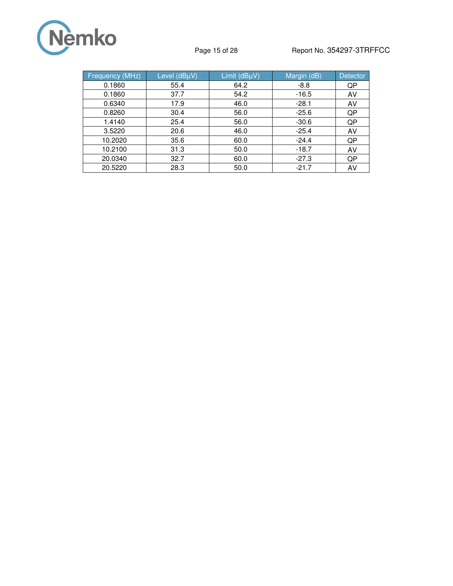

## Page 15 of 28 Report No. 354297-3TRFFCC

| <b>Frequency (MHz)</b> | Level (dBµV) | Limit (dBµV) | Margin (dB) | <b>Detector</b> |
|------------------------|--------------|--------------|-------------|-----------------|
| 0.1860                 | 55.4         | 64.2         | $-8.8$      | QP              |
| 0.1860                 | 37.7         | 54.2         | $-16.5$     | AV              |
| 0.6340                 | 17.9         | 46.0         | $-28.1$     | AV              |
| 0.8260                 | 30.4         | 56.0         | $-25.6$     | QP              |
| 1.4140                 | 25.4         | 56.0         | $-30.6$     | QP              |
| 3.5220                 | 20.6         | 46.0         | $-25.4$     | AV              |
| 10.2020                | 35.6         | 60.0         | $-24.4$     | QP              |
| 10.2100                | 31.3         | 50.0         | $-18.7$     | AV              |
| 20.0340                | 32.7         | 60.0         | $-27.3$     | QP              |
| 20.5220                | 28.3         | 50.0         | $-21.7$     | AV              |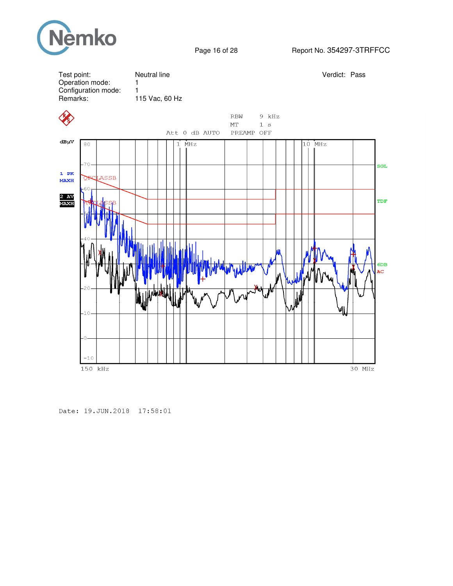



Date: 19. JUN. 2018 17:58:01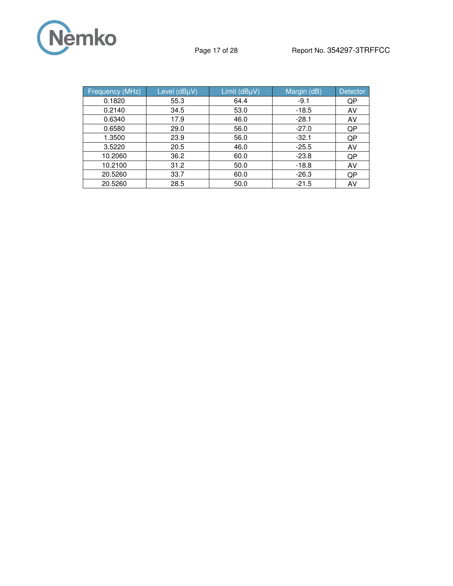

| <b>Frequency (MHz)</b> | Level (dBµV) | Limit $(dB\mu V)$ | Margin (dB) | <b>Detector</b> |
|------------------------|--------------|-------------------|-------------|-----------------|
| 0.1820                 | 55.3         | 64.4              | $-9.1$      | QP              |
| 0.2140                 | 34.5         | 53.0              | $-18.5$     | AV              |
| 0.6340                 | 17.9         | 46.0              | $-28.1$     | AV              |
| 0.6580                 | 29.0         | 56.0              | $-27.0$     | QP              |
| 1.3500                 | 23.9         | 56.0              | $-32.1$     | QP              |
| 3.5220                 | 20.5         | 46.0              | $-25.5$     | AV              |
| 10.2060                | 36.2         | 60.0              | $-23.8$     | QP              |
| 10.2100                | 31.2         | 50.0              | $-18.8$     | AV              |
| 20.5260                | 33.7         | 60.0              | $-26.3$     | QP              |
| 20.5260                | 28.5         | 50.0              | $-21.5$     | AV              |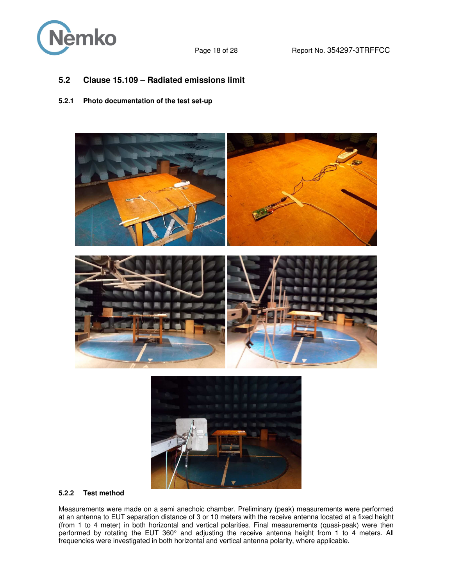

## **5.2 Clause 15.109 – Radiated emissions limit**

### **5.2.1 Photo documentation of the test set-up**





#### **5.2.2 Test method**

Measurements were made on a semi anechoic chamber. Preliminary (peak) measurements were performed at an antenna to EUT separation distance of 3 or 10 meters with the receive antenna located at a fixed height (from 1 to 4 meter) in both horizontal and vertical polarities. Final measurements (quasi-peak) were then performed by rotating the EUT 360° and adjusting the receive antenna height from 1 to 4 meters. All frequencies were investigated in both horizontal and vertical antenna polarity, where applicable.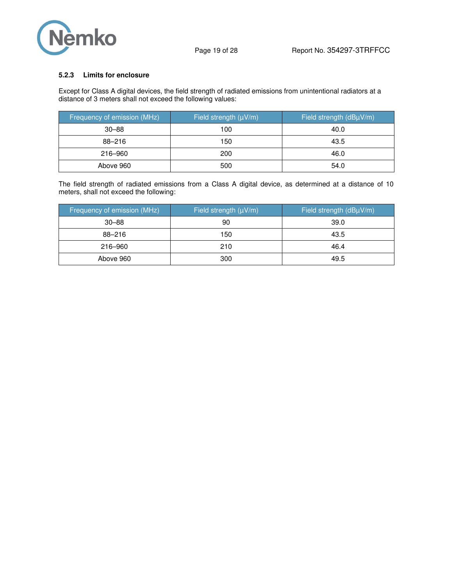

#### **5.2.3 Limits for enclosure**

Except for Class A digital devices, the field strength of radiated emissions from unintentional radiators at a distance of 3 meters shall not exceed the following values:

| Frequency of emission (MHz) | Field strength (µV/m) | Field strength (dBµV/m) |
|-----------------------------|-----------------------|-------------------------|
| $30 - 88$                   | 100                   | 40.0                    |
| 88-216                      | 150                   | 43.5                    |
| 216-960                     | 200                   | 46.0                    |
| Above 960                   | 500                   | 54.0                    |

The field strength of radiated emissions from a Class A digital device, as determined at a distance of 10 meters, shall not exceed the following:

| Frequency of emission (MHz) | Field strength $(\mu V/m)$ | Field strength (dBµV/m) |
|-----------------------------|----------------------------|-------------------------|
| $30 - 88$                   | 90                         | 39.0                    |
| 88-216                      | 150                        | 43.5                    |
| 216-960                     | 210                        | 46.4                    |
| Above 960                   | 300                        | 49.5                    |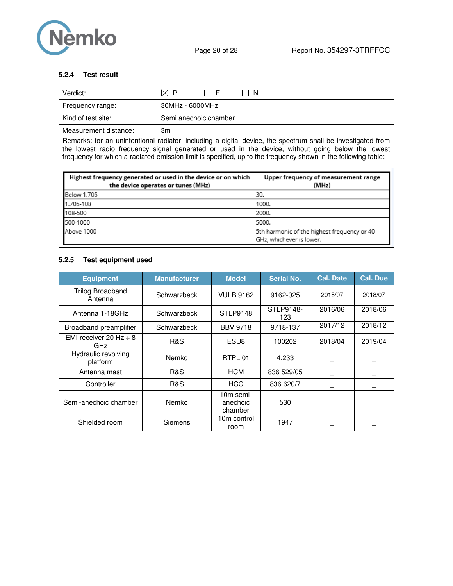

### **5.2.4 Test result**

| Verdict:              | $\boxtimes$ P<br>- N<br>' I F |
|-----------------------|-------------------------------|
| Frequency range:      | 30MHz - 6000MHz               |
| Kind of test site:    | Semi anechoic chamber         |
| Measurement distance: | Зm                            |

Remarks: for an unintentional radiator, including a digital device, the spectrum shall be investigated from the lowest radio frequency signal generated or used in the device, without going below the lowest frequency for which a radiated emission limit is specified, up to the frequency shown in the following table:

| Highest frequency generated or used in the device or on which<br>the device operates or tunes (MHz) | Upper frequency of measurement range<br>(MHz)                           |
|-----------------------------------------------------------------------------------------------------|-------------------------------------------------------------------------|
| <b>Below 1.705</b>                                                                                  | 130.                                                                    |
| 1.705-108                                                                                           | 1000.                                                                   |
| 108-500                                                                                             | 2000.                                                                   |
| 500-1000                                                                                            | 5000.                                                                   |
| Above 1000                                                                                          | 5th harmonic of the highest frequency or 40<br>GHz, whichever is lower. |

#### **5.2.5 Test equipment used**

| <b>Equipment</b>                   | <b>Manufacturer</b> | <b>Model</b>                     | <b>Serial No.</b> | <b>Cal. Date</b> | <b>Cal. Due</b> |
|------------------------------------|---------------------|----------------------------------|-------------------|------------------|-----------------|
| Trilog Broadband<br>Antenna        | Schwarzbeck         | <b>VULB 9162</b>                 | 9162-025          | 2015/07          | 2018/07         |
| Antenna 1-18GHz                    | Schwarzbeck         | STLP9148                         | STLP9148-<br>123  | 2016/06          | 2018/06         |
| Broadband preamplifier             | Schwarzbeck         | <b>BBV 9718</b>                  | 9718-137          | 2017/12          | 2018/12         |
| EMI receiver 20 Hz $\div$ 8<br>GHz | R&S                 | ESU8                             | 100202            | 2018/04          | 2019/04         |
| Hydraulic revolving<br>platform    | Nemko               | RTPL 01                          | 4.233             |                  |                 |
| Antenna mast                       | R&S                 | <b>HCM</b>                       | 836 529/05        |                  |                 |
| Controller                         | <b>R&amp;S</b>      | <b>HCC</b>                       | 836 620/7         |                  |                 |
| Semi-anechoic chamber              | Nemko               | 10m semi-<br>anechoic<br>chamber | 530               |                  |                 |
| Shielded room                      | Siemens             | 10m control<br>room              | 1947              |                  |                 |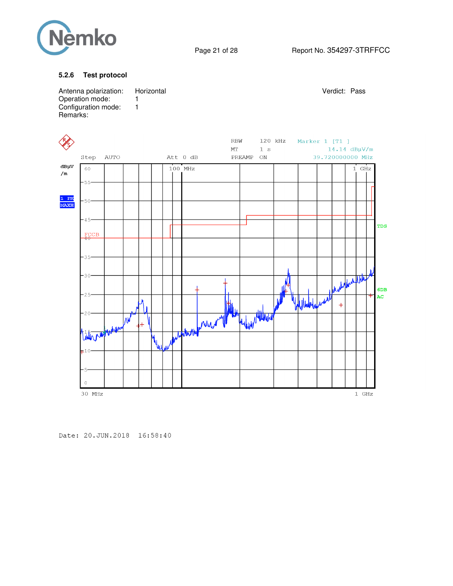

Page 21 of 28 Report No. 354297-3TRFFCC

#### **5.2.6 Test protocol**



Date: 20. JUN. 2018 16:58:40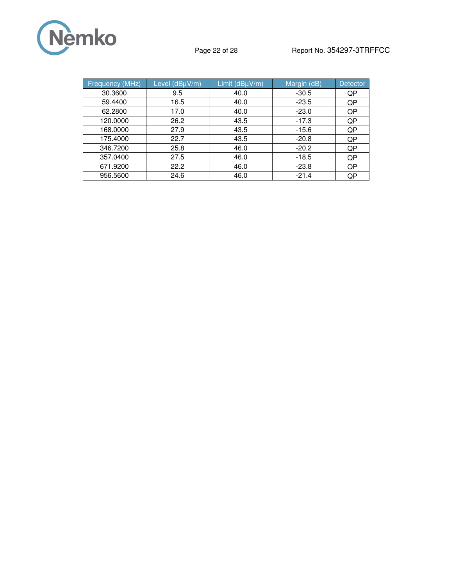

| <b>Frequency (MHz)</b> | Level (dBµV/m) | Limit (dBµV/m) | Margin (dB) | <b>Detector</b> |
|------------------------|----------------|----------------|-------------|-----------------|
| 30.3600                | 9.5            | 40.0           | $-30.5$     | QP              |
| 59.4400                | 16.5           | 40.0           | $-23.5$     | QP              |
| 62,2800                | 17.0           | 40.0           | $-23.0$     | QP              |
| 120.0000               | 26.2           | 43.5           | $-17.3$     | QP              |
| 168,0000               | 27.9           | 43.5           | $-15.6$     | QP              |
| 175.4000               | 22.7           | 43.5           | $-20.8$     | QP              |
| 346.7200               | 25.8           | 46.0           | $-20.2$     | QP              |
| 357.0400               | 27.5           | 46.0           | $-18.5$     | QP              |
| 671.9200               | 22.2           | 46.0           | $-23.8$     | QP              |
| 956.5600               | 24.6           | 46.0           | $-21.4$     | QP              |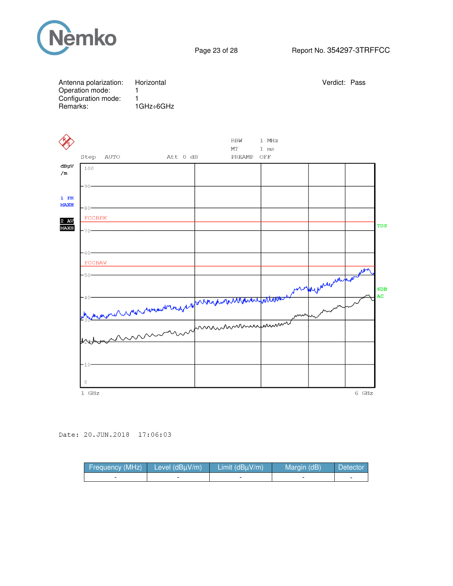

| Remarks:              | Antenna polarization:<br>Operation mode:<br>Configuration mode: | Horizontal<br>1<br>$\mathbf{1}$<br>1GHz÷6GHz |                          |                     |                               | Verdict: Pass |       |           |
|-----------------------|-----------------------------------------------------------------|----------------------------------------------|--------------------------|---------------------|-------------------------------|---------------|-------|-----------|
|                       | <b>AUTO</b><br>Step                                             | Att 0 dB                                     |                          | RBW<br>MT<br>PREAMP | 1 MHz<br>$1$ ms<br>$\rm{OFF}$ |               |       |           |
| $dB\mu V$<br>/m       | 100<br>-90-                                                     |                                              |                          |                     |                               |               |       |           |
| $1$ PK<br><b>MAXH</b> | 80.<br><b>FCCBPK</b>                                            |                                              |                          |                     |                               |               |       |           |
| $2$ AV<br><b>MAXH</b> | $70 -$                                                          |                                              |                          |                     |                               |               |       | TDS       |
|                       | -60-<br><b>FCCBAV</b>                                           |                                              |                          |                     |                               |               |       |           |
|                       | $-50-$                                                          |                                              |                          |                     |                               |               |       | 6DB<br>AC |
|                       |                                                                 | where mean moments a                         | were harden and the west |                     |                               |               |       |           |
|                       |                                                                 |                                              |                          |                     |                               |               |       |           |
|                       | $-10-$                                                          |                                              |                          |                     |                               |               |       |           |
|                       | $\Omega$<br>$1$ GHz                                             |                                              |                          |                     |                               |               | 6 GHz |           |

Date: 20.JUN.2018 17:06:03

| Frequency (MHz) | Level $(dBuV/m)$ | Limit $(dBuV/m)$ | Margin (dB) | <sup>'</sup> Detectori |
|-----------------|------------------|------------------|-------------|------------------------|
|                 |                  |                  |             | -                      |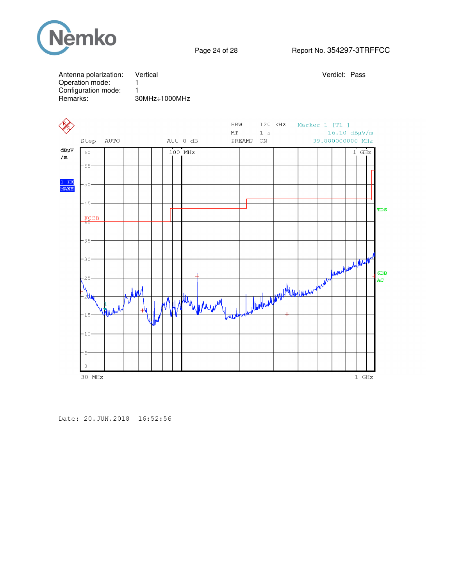

## Page 24 of 28 Report No. 354297-3TRFFCC





Date: 20. JUN. 2018 16:52:56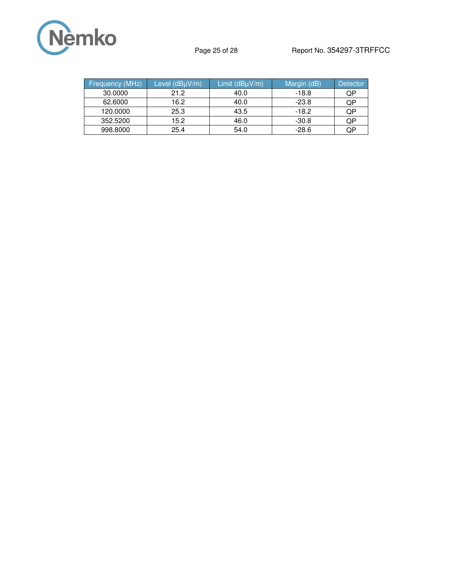

| <b>Frequency (MHz)</b> | Level (dBuV/m) | Limit $(dB\mu V/m)$ | Margin (dB) | <b>Detector</b> |
|------------------------|----------------|---------------------|-------------|-----------------|
| 30,0000                | 21.2           | 40.0                | $-18.8$     | QP              |
| 62,6000                | 16.2           | 40.0                | $-23.8$     | QP              |
| 120,0000               | 25.3           | 43.5                | -18.2       | QP              |
| 352,5200               | 15.2           | 46.0                | $-30.8$     | QP              |
| 998,8000               | 25.4           | 54.0                | $-28.6$     | QP              |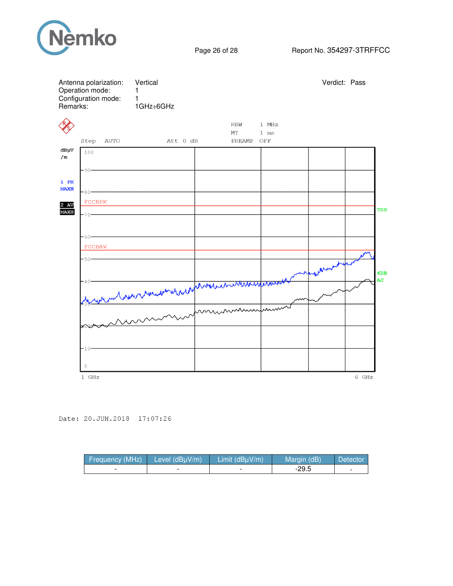

| Antenna polarization:<br>Operation mode:<br>Configuration mode:<br>Remarks: | Vertical<br>1<br>1<br>1GHz÷6GHz                               |                                                               | Verdict: Pass |
|-----------------------------------------------------------------------------|---------------------------------------------------------------|---------------------------------------------------------------|---------------|
| Step<br>AUTO                                                                | Att 0 dB                                                      | <b>RBW</b><br>$1$ MHz<br>MT<br>$1$ ms<br>PREAMP<br>$\rm{OFF}$ |               |
| dBµV<br>100<br>/m                                                           |                                                               |                                                               |               |
| $-90-$<br>$1$ PK<br><b>MAXH</b><br>$\cdot$ 80 $\cdot$                       |                                                               |                                                               |               |
| <b>FCCBPK</b><br>2 AV<br><b>MAXH</b><br>$-70-$                              |                                                               |                                                               | TDS           |
| $-60-$<br><b>FCCBAV</b>                                                     |                                                               |                                                               |               |
| $-50-$                                                                      |                                                               |                                                               | 6DB           |
| 40                                                                          | we with survey the water when the destruction and the desired |                                                               | AC            |
|                                                                             |                                                               |                                                               |               |
| $-10$                                                                       |                                                               |                                                               |               |
| $\overline{0}$<br>1 GHz                                                     |                                                               |                                                               | 6 GHz         |

Date: 20.JUN.2018 17:07:26

| Frequency (MHz) | Level $(dBuV/m)$ | Limit (dBuV/m) | Margin (dB) | Detector |
|-----------------|------------------|----------------|-------------|----------|
|                 |                  |                | -29.5       | -        |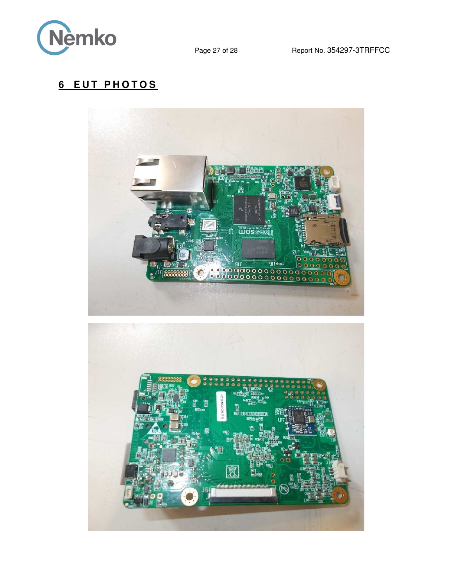

# **6 EUT PHOTOS**